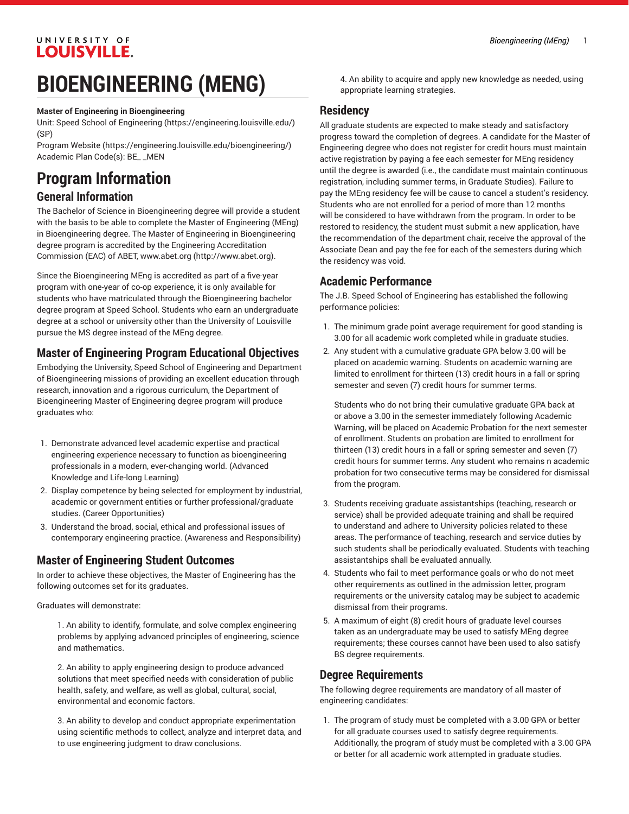#### UNIVERSITY OF LOUISVILLE.

# **BIOENGINEERING (MENG)**

#### **Master of Engineering in Bioengineering**

Unit: [Speed School of Engineering](https://engineering.louisville.edu/) ([https://engineering.louisville.edu/\)](https://engineering.louisville.edu/) (SP)

[Program](https://engineering.louisville.edu/bioengineering/) Website [\(https://engineering.louisville.edu/bioengineering/](https://engineering.louisville.edu/bioengineering/)) Academic Plan Code(s): BE\_ \_MEN

### **Program Information**

#### **General Information**

The Bachelor of Science in Bioengineering degree will provide a student with the basis to be able to complete the Master of Engineering (MEng) in Bioengineering degree. The Master of Engineering in Bioengineering degree program is accredited by the Engineering Accreditation Commission (EAC) of ABET, [www.abet.org](http://www.abet.org) ([http://www.abet.org\)](http://www.abet.org).

Since the Bioengineering MEng is accredited as part of a five-year program with one-year of co-op experience, it is only available for students who have matriculated through the Bioengineering bachelor degree program at Speed School. Students who earn an undergraduate degree at a school or university other than the University of Louisville pursue the MS degree instead of the MEng degree.

#### **Master of Engineering Program Educational Objectives**

Embodying the University, Speed School of Engineering and Department of Bioengineering missions of providing an excellent education through research, innovation and a rigorous curriculum, the Department of Bioengineering Master of Engineering degree program will produce graduates who:

- 1. Demonstrate advanced level academic expertise and practical engineering experience necessary to function as bioengineering professionals in a modern, ever-changing world. (Advanced Knowledge and Life-long Learning)
- 2. Display competence by being selected for employment by industrial, academic or government entities or further professional/graduate studies. (Career Opportunities)
- 3. Understand the broad, social, ethical and professional issues of contemporary engineering practice. (Awareness and Responsibility)

#### **Master of Engineering Student Outcomes**

In order to achieve these objectives, the Master of Engineering has the following outcomes set for its graduates.

Graduates will demonstrate:

1. An ability to identify, formulate, and solve complex engineering problems by applying advanced principles of engineering, science and mathematics.

2. An ability to apply engineering design to produce advanced solutions that meet specified needs with consideration of public health, safety, and welfare, as well as global, cultural, social, environmental and economic factors.

3. An ability to develop and conduct appropriate experimentation using scientific methods to collect, analyze and interpret data, and to use engineering judgment to draw conclusions.

4. An ability to acquire and apply new knowledge as needed, using appropriate learning strategies.

#### **Residency**

All graduate students are expected to make steady and satisfactory progress toward the completion of degrees. A candidate for the Master of Engineering degree who does not register for credit hours must maintain active registration by paying a fee each semester for MEng residency until the degree is awarded (i.e., the candidate must maintain continuous registration, including summer terms, in Graduate Studies). Failure to pay the MEng residency fee will be cause to cancel a student's residency. Students who are not enrolled for a period of more than 12 months will be considered to have withdrawn from the program. In order to be restored to residency, the student must submit a new application, have the recommendation of the department chair, receive the approval of the Associate Dean and pay the fee for each of the semesters during which the residency was void.

#### **Academic Performance**

The J.B. Speed School of Engineering has established the following performance policies:

- 1. The minimum grade point average requirement for good standing is 3.00 for all academic work completed while in graduate studies.
- 2. Any student with a cumulative graduate GPA below 3.00 will be placed on academic warning. Students on academic warning are limited to enrollment for thirteen (13) credit hours in a fall or spring semester and seven (7) credit hours for summer terms.

Students who do not bring their cumulative graduate GPA back at or above a 3.00 in the semester immediately following Academic Warning, will be placed on Academic Probation for the next semester of enrollment. Students on probation are limited to enrollment for thirteen (13) credit hours in a fall or spring semester and seven (7) credit hours for summer terms. Any student who remains n academic probation for two consecutive terms may be considered for dismissal from the program.

- 3. Students receiving graduate assistantships (teaching, research or service) shall be provided adequate training and shall be required to understand and adhere to University policies related to these areas. The performance of teaching, research and service duties by such students shall be periodically evaluated. Students with teaching assistantships shall be evaluated annually.
- 4. Students who fail to meet performance goals or who do not meet other requirements as outlined in the admission letter, program requirements or the university catalog may be subject to academic dismissal from their programs.
- 5. A maximum of eight (8) credit hours of graduate level courses taken as an undergraduate may be used to satisfy MEng degree requirements; these courses cannot have been used to also satisfy BS degree requirements.

#### **Degree Requirements**

The following degree requirements are mandatory of all master of engineering candidates:

1. The program of study must be completed with a 3.00 GPA or better for all graduate courses used to satisfy degree requirements. Additionally, the program of study must be completed with a 3.00 GPA or better for all academic work attempted in graduate studies.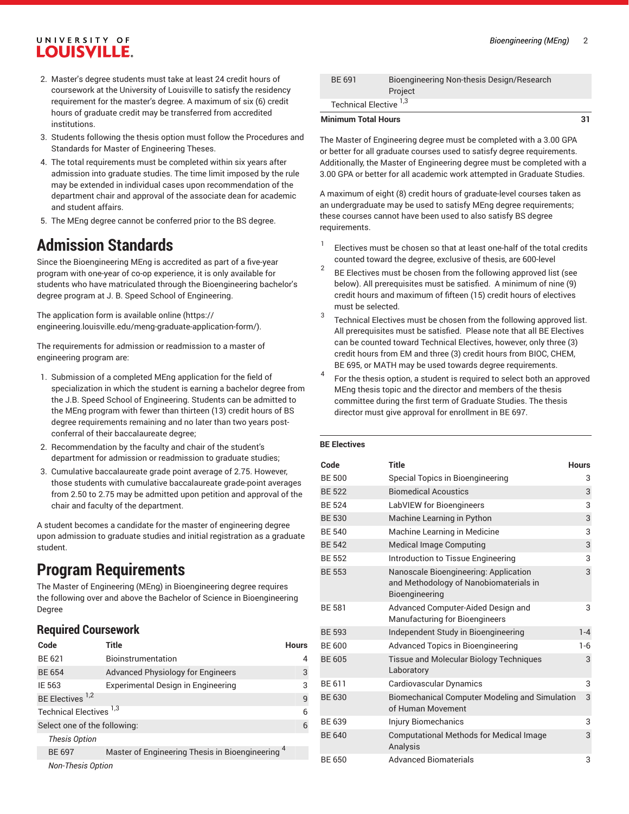### UNIVERSITY OF **LOUISVILLE.**

- 2. Master's degree students must take at least 24 credit hours of coursework at the University of Louisville to satisfy the residency requirement for the master's degree. A maximum of six (6) credit hours of graduate credit may be transferred from accredited institutions.
- 3. Students following the thesis option must follow the Procedures and Standards for Master of Engineering Theses.
- 4. The total requirements must be completed within six years after admission into graduate studies. The time limit imposed by the rule may be extended in individual cases upon recommendation of the department chair and approval of the associate dean for academic and student affairs.
- 5. The MEng degree cannot be conferred prior to the BS degree.

## **Admission Standards**

Since the Bioengineering MEng is accredited as part of a five-year program with one-year of co-op experience, it is only available for students who have matriculated through the Bioengineering bachelor's degree program at J. B. Speed School of Engineering.

The [application](https://engineering.louisville.edu/meng-graduate-application-form/) form is available online ([https://](https://engineering.louisville.edu/meng-graduate-application-form/) [engineering.louisville.edu/meng-graduate-application-form/\)](https://engineering.louisville.edu/meng-graduate-application-form/).

The requirements for admission or readmission to a master of engineering program are:

- 1. Submission of a completed MEng application for the field of specialization in which the student is earning a bachelor degree from the J.B. Speed School of Engineering. Students can be admitted to the MEng program with fewer than thirteen (13) credit hours of BS degree requirements remaining and no later than two years postconferral of their baccalaureate degree;
- 2. Recommendation by the faculty and chair of the student's department for admission or readmission to graduate studies;
- 3. Cumulative baccalaureate grade point average of 2.75. However, those students with cumulative baccalaureate grade-point averages from 2.50 to 2.75 may be admitted upon petition and approval of the chair and faculty of the department.

A student becomes a candidate for the master of engineering degree upon admission to graduate studies and initial registration as a graduate student.

# **Program Requirements**

The Master of Engineering (MEng) in Bioengineering degree requires the following over and above the Bachelor of Science in Bioengineering Degree

#### **Required Coursework**

| Code                               | Title                                                       | <b>Hours</b> |
|------------------------------------|-------------------------------------------------------------|--------------|
| BE 621                             | Bioinstrumentation                                          |              |
| <b>BE 654</b>                      | <b>Advanced Physiology for Engineers</b>                    | 3            |
| IE 563                             | Experimental Design in Engineering                          | 3            |
| BE Electives <sup>1,2</sup>        |                                                             | 9            |
| Technical Electives <sup>1,3</sup> |                                                             |              |
| Select one of the following:       |                                                             | 6            |
| <b>Thesis Option</b>               |                                                             |              |
| <b>BE 697</b>                      | Master of Engineering Thesis in Bioengineering <sup>4</sup> |              |
| <b>Non-Thesis Option</b>           |                                                             |              |

| <b>Minimum Total Hours</b>        |                                           | 31 |
|-----------------------------------|-------------------------------------------|----|
| Technical Elective <sup>1,3</sup> |                                           |    |
|                                   | Project                                   |    |
| BE 691                            | Bioengineering Non-thesis Design/Research |    |

The Master of Engineering degree must be completed with a 3.00 GPA or better for all graduate courses used to satisfy degree requirements. Additionally, the Master of Engineering degree must be completed with a 3.00 GPA or better for all academic work attempted in Graduate Studies.

A maximum of eight (8) credit hours of graduate-level courses taken as an undergraduate may be used to satisfy MEng degree requirements; these courses cannot have been used to also satisfy BS degree requirements.

- 1 Electives must be chosen so that at least one-half of the total credits counted toward the degree, exclusive of thesis, are 600-level
- 2 BE Electives must be chosen from the following approved list (see below). All prerequisites must be satisfied. A minimum of nine (9) credit hours and maximum of fifteen (15) credit hours of electives must be selected.
- 3 Technical Electives must be chosen from the following approved list. All prerequisites must be satisfied. Please note that all BE Electives can be counted toward Technical Electives, however, only three (3) credit hours from EM and three (3) credit hours from BIOC, CHEM, BE 695, or MATH may be used towards degree requirements.
- 4 For the thesis option, a student is required to select both an approved MEng thesis topic and the director and members of the thesis committee during the first term of Graduate Studies. The thesis director must give approval for enrollment in BE 697.

#### **BE Electives**

| Code          | <b>Title</b>                                                                                      | <b>Hours</b> |
|---------------|---------------------------------------------------------------------------------------------------|--------------|
| <b>BE 500</b> | Special Topics in Bioengineering                                                                  | 3            |
| <b>BE 522</b> | <b>Biomedical Acoustics</b>                                                                       | 3            |
| <b>BE 524</b> | LabVIEW for Bioengineers                                                                          | 3            |
| <b>BE 530</b> | Machine Learning in Python                                                                        | 3            |
| <b>BE 540</b> | Machine Learning in Medicine                                                                      | 3            |
| <b>BE 542</b> | <b>Medical Image Computing</b>                                                                    | 3            |
| <b>BE 552</b> | Introduction to Tissue Engineering                                                                | 3            |
| <b>BE 553</b> | Nanoscale Bioengineering: Application<br>and Methodology of Nanobiomaterials in<br>Bioengineering | 3            |
| <b>BE 581</b> | Advanced Computer-Aided Design and<br>Manufacturing for Bioengineers                              | 3            |
| <b>BE 593</b> | Independent Study in Bioengineering                                                               | $1 - 4$      |
| <b>BE 600</b> | <b>Advanced Topics in Bioengineering</b>                                                          | 1-6          |
| <b>BE 605</b> | Tissue and Molecular Biology Techniques<br>Laboratory                                             | 3            |
| BE 611        | Cardiovascular Dynamics                                                                           | 3            |
| BE 630        | Biomechanical Computer Modeling and Simulation<br>of Human Movement                               | 3            |
| BE 639        | Injury Biomechanics                                                                               | 3            |
| <b>BE 640</b> | <b>Computational Methods for Medical Image</b><br>Analysis                                        | 3            |
| BE 650        | <b>Advanced Biomaterials</b>                                                                      | 3            |